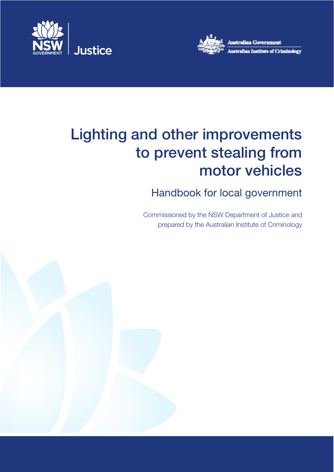



# Lighting and other improvements to prevent stealing from motor vehicles

## Handbook for local government

Commissioned by the NSW Department of Justice and prepared by the Australian Institute of Criminology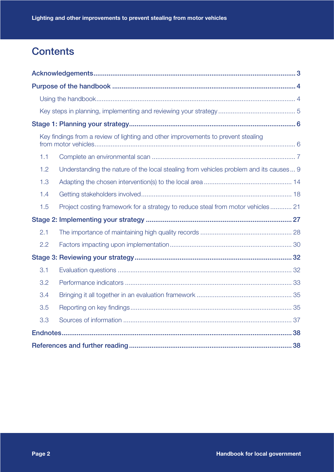## **Contents**

| Key findings from a review of lighting and other improvements to prevent stealing            |
|----------------------------------------------------------------------------------------------|
| 1.1                                                                                          |
| 1.2<br>Understanding the nature of the local stealing from vehicles problem and its causes 9 |
| 1.3                                                                                          |
| 1.4                                                                                          |
| 1.5<br>Project costing framework for a strategy to reduce steal from motor vehicles 21       |
|                                                                                              |
| 2.1                                                                                          |
| 2.2                                                                                          |
|                                                                                              |
| 3.1                                                                                          |
| 3.2                                                                                          |
| 3.4                                                                                          |
| 3.5                                                                                          |
| 3.3                                                                                          |
|                                                                                              |
|                                                                                              |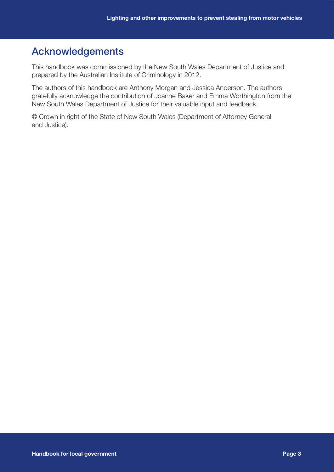## Acknowledgements

This handbook was commissioned by the New South Wales Department of Justice and prepared by the Australian Institute of Criminology in 2012.

The authors of this handbook are Anthony Morgan and Jessica Anderson. The authors gratefully acknowledge the contribution of Joanne Baker and Emma Worthington from the New South Wales Department of Justice for their valuable input and feedback.

© Crown in right of the State of New South Wales (Department of Attorney General and Justice).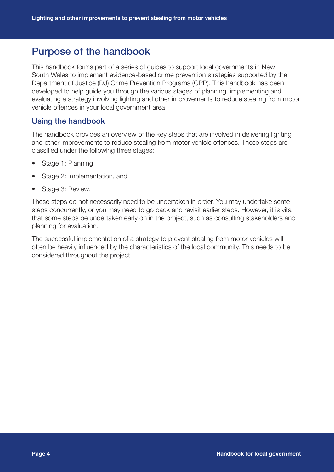## Purpose of the handbook

This handbook forms part of a series of guides to support local governments in New South Wales to implement evidence-based crime prevention strategies supported by the Department of Justice (DJ) Crime Prevention Programs (CPP). This handbook has been developed to help guide you through the various stages of planning, implementing and evaluating a strategy involving lighting and other improvements to reduce stealing from motor vehicle offences in your local government area.

### Using the handbook

The handbook provides an overview of the key steps that are involved in delivering lighting and other improvements to reduce stealing from motor vehicle offences. These steps are classified under the following three stages:

- Stage 1: Planning
- Stage 2: Implementation, and
- Stage 3: Review.

These steps do not necessarily need to be undertaken in order. You may undertake some steps concurrently, or you may need to go back and revisit earlier steps. However, it is vital that some steps be undertaken early on in the project, such as consulting stakeholders and planning for evaluation.

The successful implementation of a strategy to prevent stealing from motor vehicles will often be heavily influenced by the characteristics of the local community. This needs to be considered throughout the project.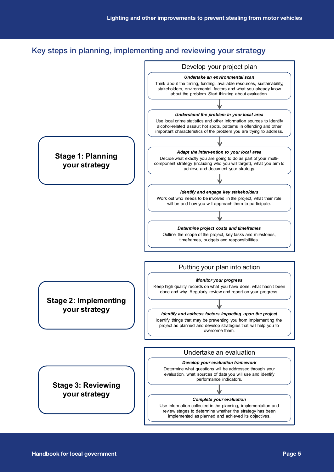## Key steps in planning, implementing and reviewing your strategy

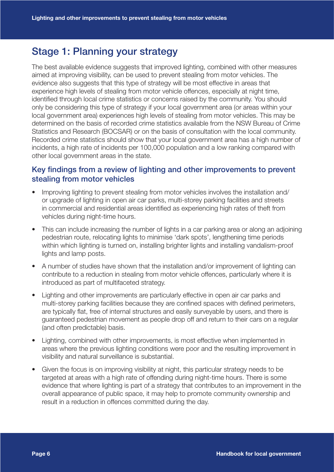## Stage 1: Planning your strategy

The best available evidence suggests that improved lighting, combined with other measures aimed at improving visibility, can be used to prevent stealing from motor vehicles. The evidence also suggests that this type of strategy will be most effective in areas that experience high levels of stealing from motor vehicle offences, especially at night time, identified through local crime statistics or concerns raised by the community. You should only be considering this type of strategy if your local government area (or areas within your local government area) experiences high levels of stealing from motor vehicles. This may be determined on the basis of recorded crime statistics available from the NSW Bureau of Crime Statistics and Research (BOCSAR) or on the basis of consultation with the local community. Recorded crime statistics should show that your local government area has a high number of incidents, a high rate of incidents per 100,000 population and a low ranking compared with other local government areas in the state.

### Key findings from a review of lighting and other improvements to prevent stealing from motor vehicles

- Improving lighting to prevent stealing from motor vehicles involves the installation and/ or upgrade of lighting in open air car parks, multi-storey parking facilities and streets in commercial and residential areas identified as experiencing high rates of theft from vehicles during night-time hours.
- This can include increasing the number of lights in a car parking area or along an adjoining pedestrian route, relocating lights to minimise 'dark spots', lengthening time periods within which lighting is turned on, installing brighter lights and installing vandalism-proof lights and lamp posts.
- A number of studies have shown that the installation and/or improvement of lighting can contribute to a reduction in stealing from motor vehicle offences, particularly where it is introduced as part of multifaceted strategy.
- Lighting and other improvements are particularly effective in open air car parks and multi-storey parking facilities because they are confined spaces with defined perimeters, are typically flat, free of internal structures and easily surveyable by users, and there is guaranteed pedestrian movement as people drop off and return to their cars on a regular (and often predictable) basis.
- Lighting, combined with other improvements, is most effective when implemented in areas where the previous lighting conditions were poor and the resulting improvement in visibility and natural surveillance is substantial.
- Given the focus is on improving visibility at night, this particular strategy needs to be targeted at areas with a high rate of offending during night-time hours. There is some evidence that where lighting is part of a strategy that contributes to an improvement in the overall appearance of public space, it may help to promote community ownership and result in a reduction in offences committed during the day.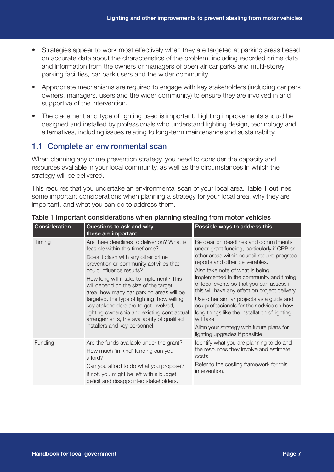- Strategies appear to work most effectively when they are targeted at parking areas based on accurate data about the characteristics of the problem, including recorded crime data and information from the owners or managers of open air car parks and multi-storey parking facilities, car park users and the wider community.
- Appropriate mechanisms are required to engage with key stakeholders (including car park owners, managers, users and the wider community) to ensure they are involved in and supportive of the intervention.
- The placement and type of lighting used is important. Lighting improvements should be designed and installed by professionals who understand lighting design, technology and alternatives, including issues relating to long-term maintenance and sustainability.

### 1.1 Complete an environmental scan

When planning any crime prevention strategy, you need to consider the capacity and resources available in your local community, as well as the circumstances in which the strategy will be delivered.

This requires that you undertake an environmental scan of your local area. Table 1 outlines some important considerations when planning a strategy for your local area, why they are important, and what you can do to address them.

| Consideration | Questions to ask and why<br>these are important                                                                                                                                                                                                                                                                                                                                                                                                                                                                                                    | Possible ways to address this                                                                                                                                                                                                                                                                                                                                                                                                                                                                                                                                                               |
|---------------|----------------------------------------------------------------------------------------------------------------------------------------------------------------------------------------------------------------------------------------------------------------------------------------------------------------------------------------------------------------------------------------------------------------------------------------------------------------------------------------------------------------------------------------------------|---------------------------------------------------------------------------------------------------------------------------------------------------------------------------------------------------------------------------------------------------------------------------------------------------------------------------------------------------------------------------------------------------------------------------------------------------------------------------------------------------------------------------------------------------------------------------------------------|
| Timing        | Are there deadlines to deliver on? What is<br>feasible within this timeframe?<br>Does it clash with any other crime<br>prevention or community activities that<br>could influence results?<br>How long will it take to implement? This<br>will depend on the size of the target<br>area, how many car parking areas will be<br>targeted, the type of lighting, how willing<br>key stakeholders are to get involved,<br>lighting ownership and existing contractual<br>arrangements, the availability of qualified<br>installers and key personnel. | Be clear on deadlines and commitments<br>under grant funding, particularly if CPP or<br>other areas within council require progress<br>reports and other deliverables.<br>Also take note of what is being<br>implemented in the community and timing<br>of local events so that you can assess if<br>this will have any effect on project delivery.<br>Use other similar projects as a guide and<br>ask professionals for their advice on how<br>long things like the installation of lighting<br>will take.<br>Align your strategy with future plans for<br>lighting upgrades if possible. |
| Funding       | Are the funds available under the grant?<br>How much 'in kind' funding can you<br>afford?<br>Can you afford to do what you propose?<br>If not, you might be left with a budget<br>deficit and disappointed stakeholders.                                                                                                                                                                                                                                                                                                                           | Identify what you are planning to do and<br>the resources they involve and estimate<br>costs.<br>Refer to the costing framework for this<br>intervention.                                                                                                                                                                                                                                                                                                                                                                                                                                   |

### Table 1 Important considerations when planning stealing from motor vehicles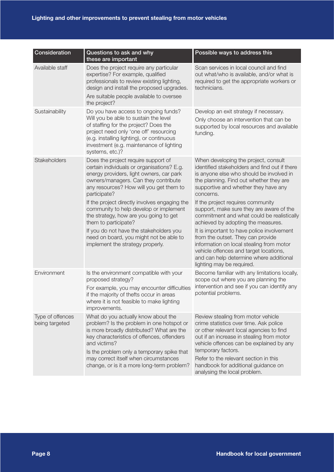| Consideration                      | Questions to ask and why<br>these are important                                                                                                                                                                                                                              | Possible ways to address this                                                                                                                                                                                                                 |
|------------------------------------|------------------------------------------------------------------------------------------------------------------------------------------------------------------------------------------------------------------------------------------------------------------------------|-----------------------------------------------------------------------------------------------------------------------------------------------------------------------------------------------------------------------------------------------|
| Available staff                    | Does the project require any particular<br>expertise? For example, qualified<br>professionals to review existing lighting,<br>design and install the proposed upgrades.<br>Are suitable people available to oversee<br>the project?                                          | Scan services in local council and find<br>out what/who is available, and/or what is<br>required to get the appropriate workers or<br>technicians.                                                                                            |
| Sustainability                     | Do you have access to ongoing funds?<br>Will you be able to sustain the level<br>of staffing for the project? Does the<br>project need only 'one off' resourcing<br>(e.g. installing lighting), or continuous<br>investment (e.g. maintenance of lighting<br>systems, etc.)? | Develop an exit strategy if necessary.<br>Only choose an intervention that can be<br>supported by local resources and available<br>funding.                                                                                                   |
| Stakeholders                       | Does the project require support of<br>certain individuals or organisations? E.g.<br>energy providers, light owners, car park<br>owners/managers. Can they contribute<br>any resources? How will you get them to<br>participate?                                             | When developing the project, consult<br>identified stakeholders and find out if there<br>is anyone else who should be involved in<br>the planning. Find out whether they are<br>supportive and whether they have any<br>concerns.             |
|                                    | If the project directly involves engaging the<br>community to help develop or implement<br>the strategy, how are you going to get<br>them to participate?                                                                                                                    | If the project requires community<br>support, make sure they are aware of the<br>commitment and what could be realistically<br>achieved by adopting the measures.                                                                             |
|                                    | If you do not have the stakeholders you<br>need on board, you might not be able to<br>implement the strategy properly.                                                                                                                                                       | It is important to have police involvement<br>from the outset. They can provide<br>information on local stealing from motor<br>vehicle offences and target locations,<br>and can help determine where additional<br>lighting may be required. |
| Environment                        | Is the environment compatible with your<br>proposed strategy?                                                                                                                                                                                                                | Become familiar with any limitations locally,<br>scope out where you are planning the                                                                                                                                                         |
|                                    | For example, you may encounter difficulties<br>if the majority of thefts occur in areas<br>where it is not feasible to make lighting<br>improvements.                                                                                                                        | intervention and see if you can identify any<br>potential problems.                                                                                                                                                                           |
| Type of offences<br>being targeted | What do you actually know about the<br>problem? Is the problem in one hotspot or<br>is more broadly distributed? What are the<br>key characteristics of offences, offenders<br>and victims?<br>Is the problem only a temporary spike that                                    | Review stealing from motor vehicle<br>crime statistics over time. Ask police<br>or other relevant local agencies to find<br>out if an increase in stealing from motor<br>vehicle offences can be explained by any<br>temporary factors.       |
|                                    | may correct itself when circumstances<br>change, or is it a more long-term problem?                                                                                                                                                                                          | Refer to the relevant section in this<br>handbook for additional guidance on<br>analysing the local problem.                                                                                                                                  |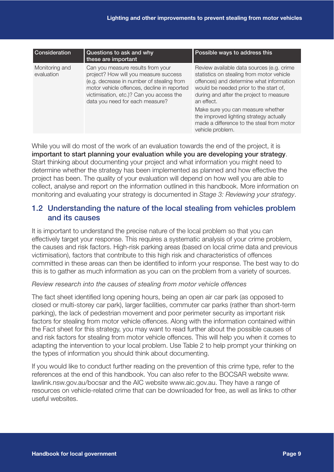| <b>Consideration</b>         | Questions to ask and why<br>these are important                                                                                                                                                                                                       | Possible ways to address this                                                                                                                                                                                                                                                                                                                                                          |
|------------------------------|-------------------------------------------------------------------------------------------------------------------------------------------------------------------------------------------------------------------------------------------------------|----------------------------------------------------------------------------------------------------------------------------------------------------------------------------------------------------------------------------------------------------------------------------------------------------------------------------------------------------------------------------------------|
| Monitoring and<br>evaluation | Can you measure results from your<br>project? How will you measure success<br>(e.g. decrease in number of stealing from<br>motor vehicle offences, decline in reported<br>victimisation, etc.)? Can you access the<br>data you need for each measure? | Review available data sources (e.g. crime<br>statistics on stealing from motor vehicle<br>offences) and determine what information<br>would be needed prior to the start of,<br>during and after the project to measure<br>an effect.<br>Make sure you can measure whether<br>the improved lighting strategy actually<br>made a difference to the steal from motor<br>vehicle problem. |

While you will do most of the work of an evaluation towards the end of the project, it is important to start planning your evaluation while you are developing your strategy. Start thinking about documenting your project and what information you might need to determine whether the strategy has been implemented as planned and how effective the project has been. The quality of your evaluation will depend on how well you are able to collect, analyse and report on the information outlined in this handbook. More information on monitoring and evaluating your strategy is documented in *Stage 3: Reviewing your strategy*.

## 1.2 Understanding the nature of the local stealing from vehicles problem and its causes

It is important to understand the precise nature of the local problem so that you can effectively target your response. This requires a systematic analysis of your crime problem, the causes and risk factors. High-risk parking areas (based on local crime data and previous victimisation), factors that contribute to this high risk and characteristics of offences committed in these areas can then be identified to inform your response. The best way to do this is to gather as much information as you can on the problem from a variety of sources.

#### *Review research into the causes of stealing from motor vehicle offences*

The fact sheet identified long opening hours, being an open air car park (as opposed to closed or multi-storey car park), larger facilities, commuter car parks (rather than short-term parking), the lack of pedestrian movement and poor perimeter security as important risk factors for stealing from motor vehicle offences. Along with the information contained within the Fact sheet for this strategy, you may want to read further about the possible causes of and risk factors for stealing from motor vehicle offences. This will help you when it comes to adapting the intervention to your local problem. Use Table 2 to help prompt your thinking on the types of information you should think about documenting.

If you would like to conduct further reading on the prevention of this crime type, refer to the references at the end of this handbook. You can also refer to the BOCSAR website www. lawlink.nsw.gov.au/bocsar and the AIC website www.aic.gov.au. They have a range of resources on vehicle-related crime that can be downloaded for free, as well as links to other useful websites.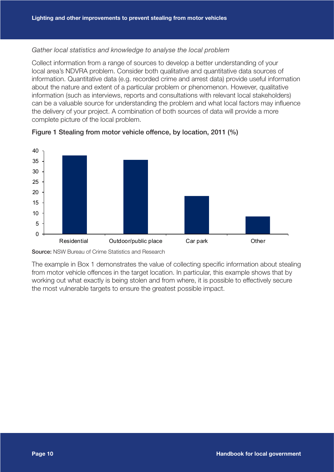#### *Gather local statistics and knowledge to analyse the local problem*

Collect information from a range of sources to develop a better understanding of your local area's NDVRA problem. Consider both qualitative and quantitative data sources of information. Quantitative data (e.g. recorded crime and arrest data) provide useful information about the nature and extent of a particular problem or phenomenon. However, qualitative information (such as interviews, reports and consultations with relevant local stakeholders) can be a valuable source for understanding the problem and what local factors may influence the delivery of your project. A combination of both sources of data will provide a more complete picture of the local problem.





Source: NSW Bureau of Crime Statistics and Research

The example in Box 1 demonstrates the value of collecting specific information about stealing from motor vehicle offences in the target location. In particular, this example shows that by working out what exactly is being stolen and from where, it is possible to effectively secure the most vulnerable targets to ensure the greatest possible impact.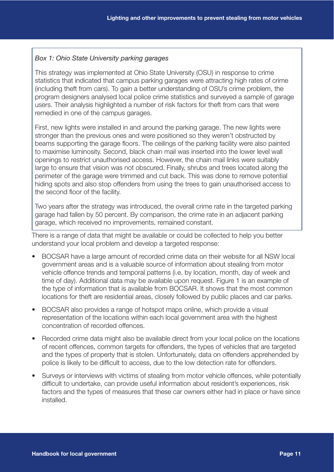### *Box 1: Ohio State University parking garages*

This strategy was implemented at Ohio State University (OSU) in response to crime statistics that indicated that campus parking garages were attracting high rates of crime (including theft from cars). To gain a better understanding of OSU's crime problem, the program designers analysed local police crime statistics and surveyed a sample of garage users. Their analysis highlighted a number of risk factors for theft from cars that were remedied in one of the campus garages.

First, new lights were installed in and around the parking garage. The new lights were stronger than the previous ones and were positioned so they weren't obstructed by beams supporting the garage floors. The ceilings of the parking facility were also painted to maximise luminosity. Second, black chain mail was inserted into the lower level wall openings to restrict unauthorised access. However, the chain mail links were suitably large to ensure that vision was not obscured. Finally, shrubs and trees located along the perimeter of the garage were trimmed and cut back. This was done to remove potential hiding spots and also stop offenders from using the trees to gain unauthorised access to the second floor of the facility.

Two years after the strategy was introduced, the overall crime rate in the targeted parking garage had fallen by 50 percent. By comparison, the crime rate in an adjacent parking garage, which received no improvements, remained constant.

There is a range of data that might be available or could be collected to help you better understand your local problem and develop a targeted response:

- BOCSAR have a large amount of recorded crime data on their website for all NSW local government areas and is a valuable source of information about stealing from motor vehicle offence trends and temporal patterns (i.e. by location, month, day of week and time of day). Additional data may be available upon request. Figure 1 is an example of the type of information that is available from BOCSAR. It shows that the most common locations for theft are residential areas, closely followed by public places and car parks.
- BOCSAR also provides a range of hotspot maps online, which provide a visual representation of the locations within each local government area with the highest concentration of recorded offences.
- Recorded crime data might also be available direct from your local police on the locations of recent offences, common targets for offenders, the types of vehicles that are targeted and the types of property that is stolen. Unfortunately, data on offenders apprehended by police is likely to be difficult to access, due to the low detection rate for offenders.
- Surveys or interviews with victims of stealing from motor vehicle offences, while potentially difficult to undertake, can provide useful information about resident's experiences, risk factors and the types of measures that these car owners either had in place or have since installed.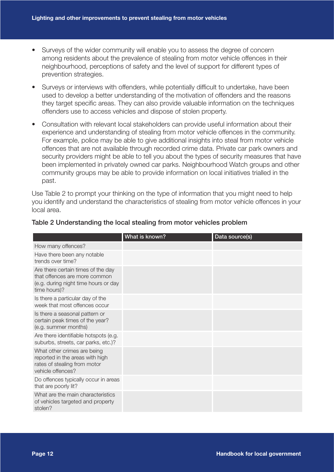- Surveys of the wider community will enable you to assess the degree of concern among residents about the prevalence of stealing from motor vehicle offences in their neighbourhood, perceptions of safety and the level of support for different types of prevention strategies.
- Surveys or interviews with offenders, while potentially difficult to undertake, have been used to develop a better understanding of the motivation of offenders and the reasons they target specific areas. They can also provide valuable information on the techniques offenders use to access vehicles and dispose of stolen property.
- Consultation with relevant local stakeholders can provide useful information about their experience and understanding of stealing from motor vehicle offences in the community. For example, police may be able to give additional insights into steal from motor vehicle offences that are not available through recorded crime data. Private car park owners and security providers might be able to tell you about the types of security measures that have been implemented in privately owned car parks. Neighbourhood Watch groups and other community groups may be able to provide information on local initiatives trialled in the past.

Use Table 2 to prompt your thinking on the type of information that you might need to help you identify and understand the characteristics of stealing from motor vehicle offences in your local area.

|                                                                                                                             | What is known? | Data source(s) |
|-----------------------------------------------------------------------------------------------------------------------------|----------------|----------------|
| How many offences?                                                                                                          |                |                |
| Have there been any notable<br>trends over time?                                                                            |                |                |
| Are there certain times of the day<br>that offences are more common<br>(e.g. during night time hours or day<br>time hours)? |                |                |
| Is there a particular day of the<br>week that most offences occur                                                           |                |                |
| Is there a seasonal pattern or<br>certain peak times of the year?<br>(e.g. summer months)                                   |                |                |
| Are there identifiable hotspots (e.g.<br>suburbs, streets, car parks, etc.)?                                                |                |                |
| What other crimes are being<br>reported in the areas with high<br>rates of stealing from motor<br>vehicle offences?         |                |                |
| Do offences typically occur in areas<br>that are poorly lit?                                                                |                |                |
| What are the main characteristics<br>of vehicles targeted and property<br>stolen?                                           |                |                |

### Table 2 Understanding the local stealing from motor vehicles problem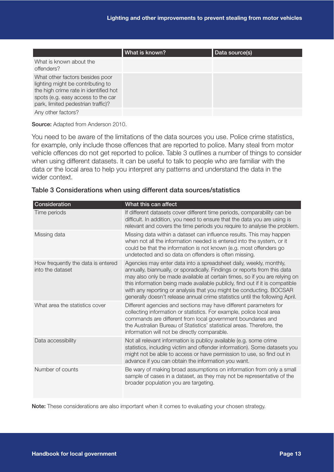|                                                                                                                                                                                           | What is known? | Data source(s) |
|-------------------------------------------------------------------------------------------------------------------------------------------------------------------------------------------|----------------|----------------|
| What is known about the<br>offenders?                                                                                                                                                     |                |                |
| What other factors besides poor<br>lighting might be contributing to<br>the high crime rate in identified hot<br>spots (e.g. easy access to the car<br>park, limited pedestrian traffic)? |                |                |
| Any other factors?                                                                                                                                                                        |                |                |

Source: Adapted from Anderson 2010.

You need to be aware of the limitations of the data sources you use. Police crime statistics, for example, only include those offences that are reported to police. Many steal from motor vehicle offences do not get reported to police. Table 3 outlines a number of things to consider when using different datasets. It can be useful to talk to people who are familiar with the data or the local area to help you interpret any patterns and understand the data in the wider context.

#### Table 3 Considerations when using different data sources/statistics

| Consideration                                          | What this can affect                                                                                                                                                                                                                                                                                                                                                                                                                                                 |
|--------------------------------------------------------|----------------------------------------------------------------------------------------------------------------------------------------------------------------------------------------------------------------------------------------------------------------------------------------------------------------------------------------------------------------------------------------------------------------------------------------------------------------------|
| Time periods                                           | If different datasets cover different time periods, comparability can be<br>difficult. In addition, you need to ensure that the data you are using is<br>relevant and covers the time periods you require to analyse the problem.                                                                                                                                                                                                                                    |
| Missing data                                           | Missing data within a dataset can influence results. This may happen<br>when not all the information needed is entered into the system, or it<br>could be that the information is not known (e.g. most offenders go<br>undetected and so data on offenders is often missing.                                                                                                                                                                                         |
| How frequently the data is entered<br>into the dataset | Agencies may enter data into a spreadsheet daily, weekly, monthly,<br>annually, biannually, or sporadically. Findings or reports from this data<br>may also only be made available at certain times, so if you are relying on<br>this information being made available publicly, find out if it is compatible<br>with any reporting or analysis that you might be conducting. BOCSAR<br>generally doesn't release annual crime statistics until the following April. |
| What area the statistics cover                         | Different agencies and sections may have different parameters for<br>collecting information or statistics. For example, police local area<br>commands are different from local government boundaries and<br>the Australian Bureau of Statistics' statistical areas. Therefore, the<br>information will not be directly comparable.                                                                                                                                   |
| Data accessibility                                     | Not all relevant information is publicy available (e.g. some crime<br>statistics, including victim and offender information). Some datasets you<br>might not be able to access or have permission to use, so find out in<br>advance if you can obtain the information you want.                                                                                                                                                                                      |
| Number of counts                                       | Be wary of making broad assumptions on information from only a small<br>sample of cases in a dataset, as they may not be representative of the<br>broader population you are targeting.                                                                                                                                                                                                                                                                              |

Note: These considerations are also important when it comes to evaluating your chosen strategy.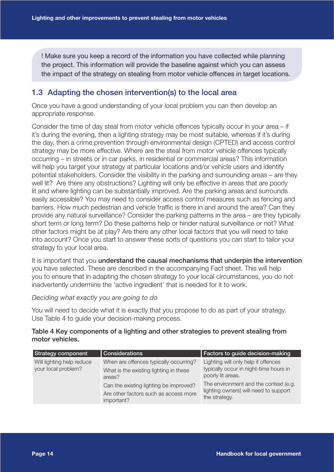! Make sure you keep a record of the information you have collected while planning the project. This information will provide the baseline against which you can assess the impact of the strategy on stealing from motor vehicle offences in target locations.

## 1.3 Adapting the chosen intervention(s) to the local area

Once you have a good understanding of your local problem you can then develop an appropriate response.

Consider the time of day steal from motor vehicle offences typically occur in your area – if it's during the evening, then a lighting strategy may be most suitable, whereas if it's during the day, then a crime prevention through environmental design (CPTED) and access control strategy may be more effective. Where are the steal from motor vehicle offences typically occurring – in streets or in car parks, in residential or commercial areas? This information will help you target your strategy at particular locations and/or vehicle users and identify potential stakeholders. Consider the visibility in the parking and surrounding areas – are they well lit? Are there any obstructions? Lighting will only be effective in areas that are poorly lit and where lighting can be substantially improved. Are the parking areas and surrounds easily accessible? You may need to consider access control measures such as fencing and barriers. How much pedestrian and vehicle traffic is there in and around the area? Can they provide any natural surveillance? Consider the parking patterns in the area – are they typically short term or long term? Do these patterns help or hinder natural surveillance or not? What other factors might be at play? Are there any other local factors that you will need to take into account? Once you start to answer these sorts of questions you can start to tailor your strategy to your local area.

It is important that you understand the causal mechanisms that underpin the intervention you have selected. These are described in the accompanying Fact sheet. This will help you to ensure that in adapting the chosen strategy to your local circumstances, you do not inadvertently undermine the 'active ingredient' that is needed for it to work.

#### *Deciding what exactly you are going to do*

You will need to decide what it is exactly that you propose to do as part of your strategy. Use Table 4 to guide your decision-making process.

#### Table 4 Key components of a lighting and other strategies to prevent stealing from motor vehicles.

| <b>Strategy component</b>                        | <b>Considerations</b>                                                                                                                                                                       | Factors to guide decision-making                                                                                                                                                                      |
|--------------------------------------------------|---------------------------------------------------------------------------------------------------------------------------------------------------------------------------------------------|-------------------------------------------------------------------------------------------------------------------------------------------------------------------------------------------------------|
| Will lighting help reduce<br>your local problem? | When are offences typically occurring?<br>What is the existing lighting in these<br>areas?<br>Can the existing lighting be improved?<br>Are other factors such as access more<br>important? | Lighting will only help if offences<br>typically occur in night-time hours in<br>poorly lit areas.<br>The environment and the context (e.g.<br>lighting owners) will need to support<br>the strategy. |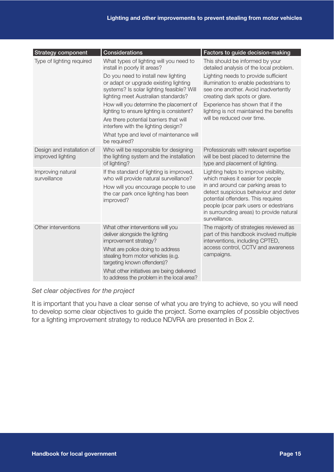| <b>Strategy component</b>                       | Considerations                                                                                                                                                                                                                                                                                                                             | Factors to guide decision-making                                                                                                                                                                                                                                                                     |
|-------------------------------------------------|--------------------------------------------------------------------------------------------------------------------------------------------------------------------------------------------------------------------------------------------------------------------------------------------------------------------------------------------|------------------------------------------------------------------------------------------------------------------------------------------------------------------------------------------------------------------------------------------------------------------------------------------------------|
| Type of lighting required                       | What types of lighting will you need to<br>install in poorly lit areas?                                                                                                                                                                                                                                                                    | This should be informed by your<br>detailed analysis of the local problem.                                                                                                                                                                                                                           |
|                                                 | Do you need to install new lighting<br>or adapt or upgrade existing lighting<br>systems? Is solar lighting feasible? Will<br>lighting meet Australian standards?<br>How will you determine the placement of<br>lighting to ensure lighting is consistent?<br>Are there potential barriers that will<br>interfere with the lighting design? | Lighting needs to provide sufficient<br>illumination to enable pedestrians to<br>see one another. Avoid inadvertently<br>creating dark spots or glare.<br>Experience has shown that if the<br>lighting is not maintained the benefits<br>will be reduced over time.                                  |
|                                                 | What type and level of maintenance will<br>be required?                                                                                                                                                                                                                                                                                    |                                                                                                                                                                                                                                                                                                      |
| Design and installation of<br>improved lighting | Who will be responsible for designing<br>the lighting system and the installation<br>of lighting?                                                                                                                                                                                                                                          | Professionals with relevant expertise<br>will be best placed to determine the<br>type and placement of lighting.                                                                                                                                                                                     |
| Improving natural<br>surveillance               | If the standard of lighting is improved,<br>who will provide natural surveillance?<br>How will you encourage people to use<br>the car park once lighting has been<br>improved?                                                                                                                                                             | Lighting helps to improve visibility,<br>which makes it easier for people<br>in and around car parking areas to<br>detect suspicious behaviour and deter<br>potential offenders. This requires<br>people (pcar park users or edestrians<br>in surrounding areas) to provide natural<br>surveillance. |
| Other interventions                             | What other interventions will you<br>deliver alongside the lighting<br>improvement strategy?<br>What are police doing to address<br>stealing from motor vehicles (e.g.<br>targeting known offenders)?<br>What other initiatives are being delivered<br>to address the problem in the local area?                                           | The majority of strategies reviewed as<br>part of this handbook involved multiple<br>interventions, including CPTED,<br>access control, CCTV and awareness<br>campaigns.                                                                                                                             |

### *Set clear objectives for the project*

It is important that you have a clear sense of what you are trying to achieve, so you will need to develop some clear objectives to guide the project. Some examples of possible objectives for a lighting improvement strategy to reduce NDVRA are presented in Box 2.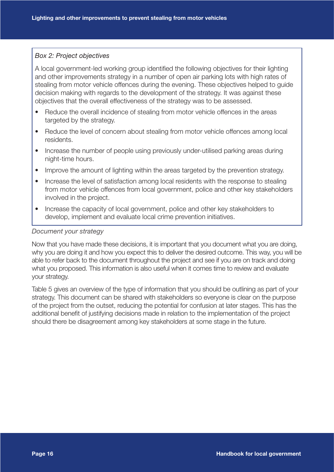#### *Box 2: Project objectives*

A local government-led working group identified the following objectives for their lighting and other improvements strategy in a number of open air parking lots with high rates of stealing from motor vehicle offences during the evening. These objectives helped to guide decision making with regards to the development of the strategy. It was against these objectives that the overall effectiveness of the strategy was to be assessed.

- Reduce the overall incidence of stealing from motor vehicle offences in the areas targeted by the strategy.
- Reduce the level of concern about stealing from motor vehicle offences among local residents.
- Increase the number of people using previously under-utilised parking areas during night-time hours.
- Improve the amount of lighting within the areas targeted by the prevention strategy.
- Increase the level of satisfaction among local residents with the response to stealing from motor vehicle offences from local government, police and other key stakeholders involved in the project.
- Increase the capacity of local government, police and other key stakeholders to develop, implement and evaluate local crime prevention initiatives.

#### *Document your strategy*

Now that you have made these decisions, it is important that you document what you are doing, why you are doing it and how you expect this to deliver the desired outcome. This way, you will be able to refer back to the document throughout the project and see if you are on track and doing what you proposed. This information is also useful when it comes time to review and evaluate your strategy.

Table 5 gives an overview of the type of information that you should be outlining as part of your strategy. This document can be shared with stakeholders so everyone is clear on the purpose of the project from the outset, reducing the potential for confusion at later stages. This has the additional benefit of justifying decisions made in relation to the implementation of the project should there be disagreement among key stakeholders at some stage in the future.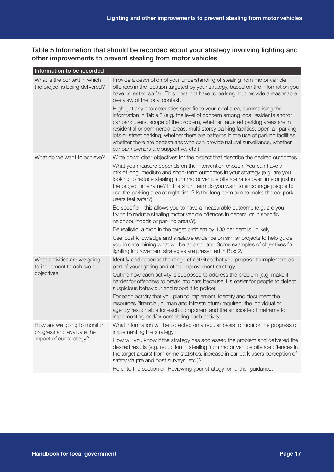Table 5 Information that should be recorded about your strategy involving lighting and other improvements to prevent stealing from motor vehicles

| Information to be recorded                                                          |                                                                                                                                                                                                                                                                                                                                                                                                                                                                                                                                                                                                                                                                                                                                                                                                                                          |
|-------------------------------------------------------------------------------------|------------------------------------------------------------------------------------------------------------------------------------------------------------------------------------------------------------------------------------------------------------------------------------------------------------------------------------------------------------------------------------------------------------------------------------------------------------------------------------------------------------------------------------------------------------------------------------------------------------------------------------------------------------------------------------------------------------------------------------------------------------------------------------------------------------------------------------------|
| What is the context in which<br>the project is being delivered?                     | Provide a description of your understanding of stealing from motor vehicle<br>offences in the location targeted by your strategy, based on the information you<br>have collected so far. This does not have to be long, but provide a reasonable<br>overview of the local context.<br>Highlight any characteristics specific to your local area, summarising the<br>information in Table 2 (e.g. the level of concern among local residents and/or<br>car park users, scope of the problem, whether targeted parking areas are in<br>residential or commercial areas, multi-storey parking facilities, open-air parking<br>lots or street parking, whether there are patterns in the use of parking facilities,<br>whether there are pedestrians who can provide natural surveillance, whether<br>car park owners are supportive, etc.). |
| What do we want to achieve?                                                         | Write down clear objectives for the project that describe the desired outcomes.<br>What you measure depends on the intervention chosen. You can have a<br>mix of long, medium and short-term outcomes in your strategy (e.g. are you<br>looking to reduce stealing from motor vehicle offence rates over time or just in<br>the project timeframe? In the short term do you want to encourage people to<br>use the parking area at night time? Is the long-term aim to make the car park<br>users feel safer?)<br>Be specific – this allows you to have a measurable outcome (e.g. are you<br>trying to reduce stealing motor vehicle offences in general or in specific<br>neighbourhoods or parking areas?).                                                                                                                           |
|                                                                                     | Be realistic: a drop in the target problem by 100 per cent is unlikely.<br>Use local knowledge and available evidence on similar projects to help guide<br>you in determining what will be appropriate. Some examples of objectives for<br>lighting improvement strategies are presented in Box 2.                                                                                                                                                                                                                                                                                                                                                                                                                                                                                                                                       |
| What activities are we going<br>to implement to achieve our<br>objectives           | Identify and describe the range of activities that you propose to implement as<br>part of your lighting and other improvement strategy.<br>Outline how each activity is supposed to address the problem (e.g. make it<br>harder for offenders to break into cars because it is easier for people to detect<br>suspicious behaviour and report it to police).<br>For each activity that you plan to implement, identify and document the<br>resources (financial, human and infrastructure) required, the individual or<br>agency responsible for each component and the anticipated timeframe for<br>implementing and/or completing each activity.                                                                                                                                                                                       |
| How are we going to monitor<br>progress and evaluate the<br>impact of our strategy? | What information will be collected on a regular basis to monitor the progress of<br>implementing the strategy?<br>How will you know if the strategy has addressed the problem and delivered the<br>desired results (e.g. reduction in stealing from motor vehicle offence offences in<br>the target area(s) from crime statistics, increase in car park users perception of<br>safety via pre and post surveys, etc.)?<br>Refer to the section on Reviewing your strategy for further guidance.                                                                                                                                                                                                                                                                                                                                          |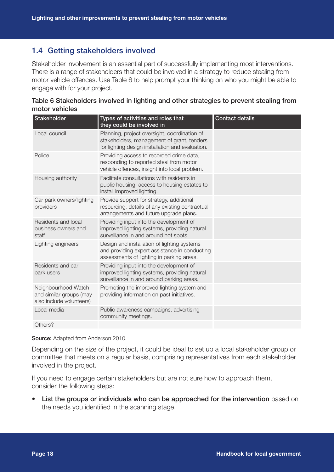## 1.4 Getting stakeholders involved

Stakeholder involvement is an essential part of successfully implementing most interventions. There is a range of stakeholders that could be involved in a strategy to reduce stealing from motor vehicle offences. Use Table 6 to help prompt your thinking on who you might be able to engage with for your project.

| Table 6 Stakeholders involved in lighting and other strategies to prevent stealing from |
|-----------------------------------------------------------------------------------------|
| motor vehicles                                                                          |

| Stakeholder                                                                | Types of activities and roles that<br>they could be involved in                                                                                | <b>Contact details</b> |
|----------------------------------------------------------------------------|------------------------------------------------------------------------------------------------------------------------------------------------|------------------------|
| Local council                                                              | Planning, project oversight, coordination of<br>stakeholders, management of grant, tenders<br>for lighting design installation and evaluation. |                        |
| Police                                                                     | Providing access to recorded crime data,<br>responding to reported steal from motor<br>vehicle offences, insight into local problem.           |                        |
| Housing authority                                                          | Facilitate consultations with residents in<br>public housing, access to housing estates to<br>install improved lighting.                       |                        |
| Car park owners/lighting<br>providers                                      | Provide support for strategy, additional<br>resourcing, details of any existing contractual<br>arrangements and future upgrade plans.          |                        |
| Residents and local<br>business owners and<br>staff                        | Providing input into the development of<br>improved lighting systems, providing natural<br>surveillance in and around hot spots.               |                        |
| Lighting engineers                                                         | Design and installation of lighting systems<br>and providing expert assistance in conducting<br>assessments of lighting in parking areas.      |                        |
| Residents and car<br>park users                                            | Providing input into the development of<br>improved lighting systems, providing natural<br>surveillance in and around parking areas.           |                        |
| Neighbourhood Watch<br>and similar groups (may<br>also include volunteers) | Promoting the improved lighting system and<br>providing information on past initiatives.                                                       |                        |
| Local media                                                                | Public awareness campaigns, advertising<br>community meetings.                                                                                 |                        |
| Others?                                                                    |                                                                                                                                                |                        |

Source: Adapted from Anderson 2010.

Depending on the size of the project, it could be ideal to set up a local stakeholder group or committee that meets on a regular basis, comprising representatives from each stakeholder involved in the project.

If you need to engage certain stakeholders but are not sure how to approach them, consider the following steps:

• List the groups or individuals who can be approached for the intervention based on the needs you identified in the scanning stage.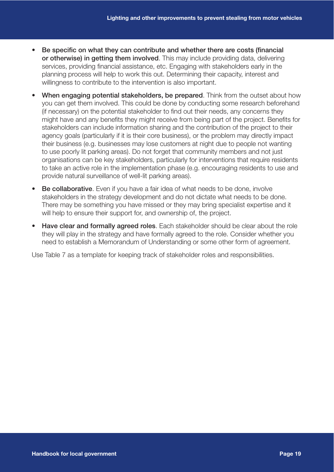- Be specific on what they can contribute and whether there are costs (financial or otherwise) in getting them involved. This may include providing data, delivering services, providing financial assistance, etc. Engaging with stakeholders early in the planning process will help to work this out. Determining their capacity, interest and willingness to contribute to the intervention is also important.
- **When engaging potential stakeholders, be prepared**. Think from the outset about how you can get them involved. This could be done by conducting some research beforehand (if necessary) on the potential stakeholder to find out their needs, any concerns they might have and any benefits they might receive from being part of the project. Benefits for stakeholders can include information sharing and the contribution of the project to their agency goals (particularly if it is their core business), or the problem may directly impact their business (e.g. businesses may lose customers at night due to people not wanting to use poorly lit parking areas). Do not forget that community members and not just organisations can be key stakeholders, particularly for interventions that require residents to take an active role in the implementation phase (e.g. encouraging residents to use and provide natural surveillance of well-lit parking areas).
- **Be collaborative.** Even if you have a fair idea of what needs to be done, involve stakeholders in the strategy development and do not dictate what needs to be done. There may be something you have missed or they may bring specialist expertise and it will help to ensure their support for, and ownership of, the project.
- Have clear and formally agreed roles. Each stakeholder should be clear about the role they will play in the strategy and have formally agreed to the role. Consider whether you need to establish a Memorandum of Understanding or some other form of agreement.

Use Table 7 as a template for keeping track of stakeholder roles and responsibilities.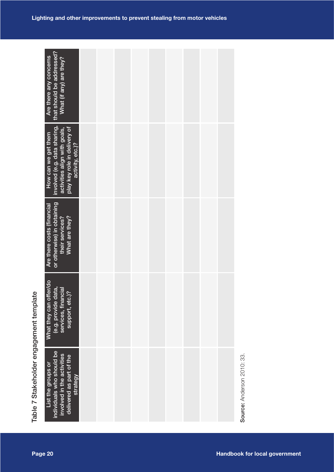| that should be addressed?<br>Are there any concerns<br>What (if any) are they?                                                                                   |  |                                      |  |
|------------------------------------------------------------------------------------------------------------------------------------------------------------------|--|--------------------------------------|--|
|                                                                                                                                                                  |  |                                      |  |
| involved (e.g. data sharing,<br>play key role in delivery of<br>activity, etc.)?<br>activities align with goals,<br>How can we get them                          |  |                                      |  |
| or otherwise) in obtaining<br>their services?<br>What are they?<br>Are there costs (financial                                                                    |  |                                      |  |
| What they can offer/do<br>(e.g. provide data,<br>services, financial<br>support, etc.)?                                                                          |  |                                      |  |
| Table 7 Stakeholder engagement template<br>individuals who should be<br>involved in the activities<br>delivered as part of the<br>List the groups or<br>strategy |  | Source: Anderson 2010: 33.           |  |
| Page 20                                                                                                                                                          |  | <b>Handbook for local government</b> |  |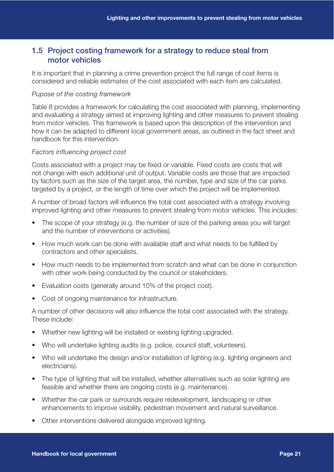### 1.5 Project costing framework for a strategy to reduce steal from motor vehicles

It is important that in planning a crime prevention project the full range of cost items is considered and reliable estimates of the cost associated with each item are calculated.

#### *Pupose of the costing framework*

Table 8 provides a framework for calculating the cost associated with planning, implementing and evaluating a strategy aimed at improving lighting and other measures to prevent stealing from motor vehicles. This framework is based upon the description of the intervention and how it can be adapted to different local government areas, as outlined in the fact sheet and handbook for this intervention.

#### *Factors influencing project cost*

Costs associated with a project may be fixed or variable. Fixed costs are costs that will not change with each additional unit of output. Variable costs are those that are impacted by factors such as the size of the target area, the number, type and size of the car parks targeted by a project, or the length of time over which the project will be implemented.

A number of broad factors will influence the total cost associated with a strategy involving improved lighting and other measures to prevent stealing from motor vehicles. This includes:

- The scope of your strategy (e.g. the number of size of the parking areas you will target and the number of interventions or activities).
- How much work can be done with available staff and what needs to be fulfilled by contractors and other specialists.
- How much needs to be implemented from scratch and what can be done in conjunction with other work being conducted by the council or stakeholders.
- Evaluation costs (generally around 10% of the project cost).
- Cost of ongoing maintenance for infrastructure.

A number of other decisions will also influence the total cost associated with the strategy. These include:

- Whether new lighting will be installed or existing lighting upgraded.
- Who will undertake lighting audits (e.g. police, council staff, volunteers).
- Who will undertake the design and/or installation of lighting (e.g. lighting engineers and electricians).
- The type of lighting that will be installed, whether alternatives such as solar lighting are feasible and whether there are ongoing costs (e.g. maintenance).
- Whether the car park or surrounds require redevelopment, landscaping or other enhancements to improve visibility, pedestrian movement and natural surveillance.
- Other interventions delivered alongside improved lighting.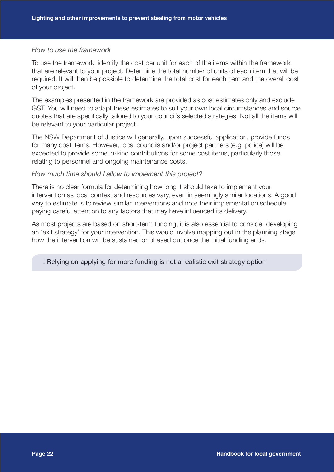#### *How to use the framework*

To use the framework, identify the cost per unit for each of the items within the framework that are relevant to your project. Determine the total number of units of each item that will be required. It will then be possible to determine the total cost for each item and the overall cost of your project.

The examples presented in the framework are provided as cost estimates only and exclude GST. You will need to adapt these estimates to suit your own local circumstances and source quotes that are specifically tailored to your council's selected strategies. Not all the items will be relevant to your particular project.

The NSW Department of Justice will generally, upon successful application, provide funds for many cost items. However, local councils and/or project partners (e.g. police) will be expected to provide some in-kind contributions for some cost items, particularly those relating to personnel and ongoing maintenance costs.

#### *How much time should I allow to implement this project?*

There is no clear formula for determining how long it should take to implement your intervention as local context and resources vary, even in seemingly similar locations. A good way to estimate is to review similar interventions and note their implementation schedule, paying careful attention to any factors that may have influenced its delivery.

As most projects are based on short-term funding, it is also essential to consider developing an 'exit strategy' for your intervention. This would involve mapping out in the planning stage how the intervention will be sustained or phased out once the initial funding ends.

! Relying on applying for more funding is not a realistic exit strategy option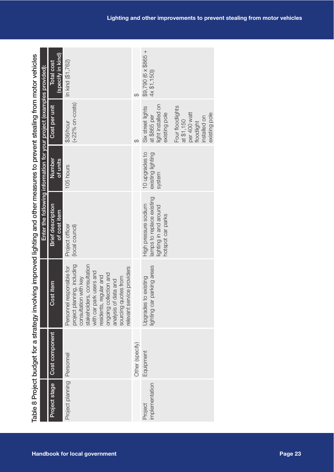|                                                                                                                              | (specify in kind)<br><b>Total cost</b>   | In kind (\$1,762)                                                                                                                                                                                                                                                            | $\Theta$        | $$9,790 (6 \times $865 + 4 \times $1,150)]$                                                      |                                                                                               |
|------------------------------------------------------------------------------------------------------------------------------|------------------------------------------|------------------------------------------------------------------------------------------------------------------------------------------------------------------------------------------------------------------------------------------------------------------------------|-----------------|--------------------------------------------------------------------------------------------------|-----------------------------------------------------------------------------------------------|
| Table 8 Project budget for a strategy imvolving improved lighting and other measures to prevent stealing from motor vehicles | Cost per unit                            | $(+22%$ on-costs)<br>\$36/hour                                                                                                                                                                                                                                               | $\Theta$        | light installed on<br>Six street lights<br>existing pole<br>at \$865 per                         | Four floodlights<br>per 400 watt<br>existing pole<br>installed on<br>at \$1,150<br>floodlight |
|                                                                                                                              | Number<br>$\frac{df}{dt}$ units          | 105 hours                                                                                                                                                                                                                                                                    |                 | 10 upgrades to<br>existing lighting<br>system                                                    |                                                                                               |
| Enter the following information for your project (examples provided):                                                        | <b>Brief description</b><br>of cost item | Project officer<br>(local council)                                                                                                                                                                                                                                           |                 | lamps to replace existing<br>High pressure sodium<br>lighting in and around<br>notspot car parks |                                                                                               |
|                                                                                                                              | Cost item                                | project planning, including<br>stakeholders, consultation<br>with car park users and<br>relevant service providers<br>Personnel responsible for<br>ongoing collection and<br>residents, regular and<br>sourcing quotes from<br>consultation with key<br>analysis of data and |                 | lighting car parking areas<br>Upgrades to existing                                               |                                                                                               |
|                                                                                                                              | Cost component                           | Personnel                                                                                                                                                                                                                                                                    | Other (specify) | Equipment                                                                                        |                                                                                               |
|                                                                                                                              | Project stage                            | Project planning                                                                                                                                                                                                                                                             |                 | implementation<br>Project                                                                        |                                                                                               |
|                                                                                                                              |                                          | <b>Handbook for local government</b>                                                                                                                                                                                                                                         |                 |                                                                                                  |                                                                                               |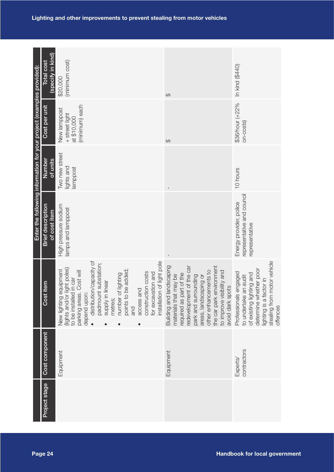| Enter the following information for your project (examples provided): | (specify in kind)<br>Total cost          | (minimum cost)<br>\$20,000                                                                                                                                                                                                                                                                                                                                                 | $\Theta$                                                                                                                                                                                                                                                        | In kind (\$440)                                                                                                                                                            |  |
|-----------------------------------------------------------------------|------------------------------------------|----------------------------------------------------------------------------------------------------------------------------------------------------------------------------------------------------------------------------------------------------------------------------------------------------------------------------------------------------------------------------|-----------------------------------------------------------------------------------------------------------------------------------------------------------------------------------------------------------------------------------------------------------------|----------------------------------------------------------------------------------------------------------------------------------------------------------------------------|--|
|                                                                       | Cost per unit                            | (minimum) each<br>New lamppost<br>+ street light<br>at \$10,000                                                                                                                                                                                                                                                                                                            | $\Theta$                                                                                                                                                                                                                                                        | \$36/hour (+22%<br>on-costs)                                                                                                                                               |  |
|                                                                       | Number<br>of units                       | Two new street<br>lights and<br>amppost                                                                                                                                                                                                                                                                                                                                    | L                                                                                                                                                                                                                                                               | 10 hours                                                                                                                                                                   |  |
|                                                                       | <b>Brief description</b><br>of cost item | High pressure sodium<br>amps and lamppost                                                                                                                                                                                                                                                                                                                                  |                                                                                                                                                                                                                                                                 | representative and council<br>Energy provider, police<br>representative                                                                                                    |  |
|                                                                       | Cost item                                | distribution/capacity of<br>installation of light pole<br>padmount substation;<br>(lights and/or light poles)<br>points to be added;<br>New lighting equipment<br>parking areas. Cost will<br>construction costs<br>for excavation and<br>of lighting<br>to be installed in car<br>supply in linear<br>access and<br>depend upon:<br>number<br>metres;<br>and<br>$\bullet$ | Building and landscaping<br>redevelopment of the car<br>the car park environment<br>other enhancements to<br>to improve visibility and<br>required as part of the<br>materials that may be<br>park and surrounding<br>areas, landscaping or<br>avoid dark spots | stealing from motor vehicle<br>determine whether poor<br>Professionals engaged<br>of existing lighting and<br>to undertake an audit<br>lighting is a factor in<br>offences |  |
|                                                                       | Cost component                           | Equipment                                                                                                                                                                                                                                                                                                                                                                  | Equipment                                                                                                                                                                                                                                                       | contractors<br>Experts/                                                                                                                                                    |  |
|                                                                       | Project stage                            |                                                                                                                                                                                                                                                                                                                                                                            |                                                                                                                                                                                                                                                                 |                                                                                                                                                                            |  |
|                                                                       | Page 24                                  |                                                                                                                                                                                                                                                                                                                                                                            |                                                                                                                                                                                                                                                                 | <b>Handbook for local government</b>                                                                                                                                       |  |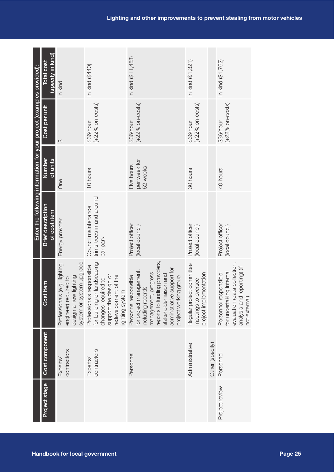|                                      |                |                         |                                                                                                                                                                                                                  | Enter the following information for your project (examples provided): |                                        |                                 |                                        |
|--------------------------------------|----------------|-------------------------|------------------------------------------------------------------------------------------------------------------------------------------------------------------------------------------------------------------|-----------------------------------------------------------------------|----------------------------------------|---------------------------------|----------------------------------------|
|                                      | Project stage  | Cost component          | titem<br>Cost                                                                                                                                                                                                    | <b>Brief description</b><br>of cost item                              | Number<br>of units                     | Cost per unit                   | (specify in kind)<br><b>Total cost</b> |
|                                      |                | contractors<br>Experts/ | system or system upgrade<br>Professionals (e.g. lighting<br>design a new lighting<br>engineer) required to                                                                                                       | Energy provider                                                       | One                                    | $\Theta$                        | In kind                                |
| <b>Handbook for local government</b> |                | contractors<br>Experts/ | for building or landscaping<br>Professionals responsible<br>support the design or<br>redevelopment of the<br>changes required to<br>ighting system                                                               | trims trees in and around<br>Council maintenance<br>car park          | 10 hours                               | $(+22\%$ on-costs)<br>\$36/hour | In kind (\$440)                        |
|                                      |                | Personnel               | reports to funding providers,<br>administrative support for<br>for project management,<br>management, progress<br>stakeholder liaison and<br>Personnel responsible<br>project working group<br>including records | Project officer<br>(local council)                                    | per week for<br>Five hours<br>52 weeks | $(+22%$ on-costs)<br>\$36/hour  | In kind (\$11,453)                     |
|                                      |                | Administrative          | Regular project committee<br>project implementation<br>meetings to oversee                                                                                                                                       | Project officer<br>(local council)                                    | 30 hours                               | $(+22%$ on-costs)<br>\$36/hour  | In kind (\$1,321)                      |
|                                      |                | Other (specify)         |                                                                                                                                                                                                                  |                                                                       |                                        |                                 |                                        |
|                                      | Project review | Personnel               | evaluation (data collection,<br>reporting) (if<br>for undertaking internal<br>Personnel responsible<br>analysis and<br>not external)                                                                             | Project officer<br>(local council)                                    | 40 hours                               | $(+22%$ on-costs)<br>\$36/hour  | In kind (\$1,762)                      |
| Page 25                              |                |                         |                                                                                                                                                                                                                  |                                                                       |                                        |                                 |                                        |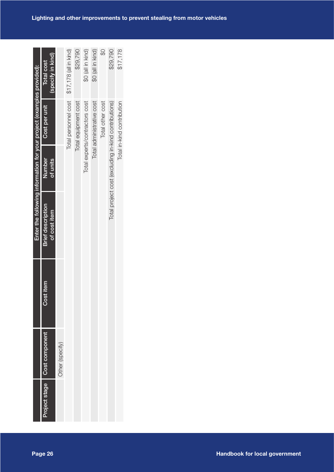|                                      |               |                 |              | Enter the following information for your project (examples provided): |          |                                                      |                        |
|--------------------------------------|---------------|-----------------|--------------|-----------------------------------------------------------------------|----------|------------------------------------------------------|------------------------|
| Page 26                              | Project stage | Cost component  | item<br>Cost | <b>Brief description</b>                                              | Number   | Cost per unit                                        | <b>Total cost</b>      |
|                                      |               |                 |              | of cost item                                                          | of units |                                                      | (specify in kind)      |
|                                      |               | Other (specify) |              |                                                                       |          |                                                      |                        |
|                                      |               |                 |              |                                                                       |          | Total personnel cost                                 | \$17,178 (all in kind) |
|                                      |               |                 |              |                                                                       |          | Total equipment cost                                 | \$29,790               |
|                                      |               |                 |              |                                                                       |          | Total experts/contractors cost                       | \$0 (all in kind)      |
|                                      |               |                 |              |                                                                       |          | Total administrative cost                            | \$0 (all in kind)      |
|                                      |               |                 |              |                                                                       |          | Total other cost                                     |                        |
|                                      |               |                 |              |                                                                       |          | Total project cost (excluding in-kind contributions) | \$29,790               |
|                                      |               |                 |              |                                                                       |          | Total in-kind contribution                           | \$17,178               |
|                                      |               |                 |              |                                                                       |          |                                                      |                        |
|                                      |               |                 |              |                                                                       |          |                                                      |                        |
|                                      |               |                 |              |                                                                       |          |                                                      |                        |
|                                      |               |                 |              |                                                                       |          |                                                      |                        |
|                                      |               |                 |              |                                                                       |          |                                                      |                        |
| <b>Handbook for local government</b> |               |                 |              |                                                                       |          |                                                      |                        |
|                                      |               |                 |              |                                                                       |          |                                                      |                        |
|                                      |               |                 |              |                                                                       |          |                                                      |                        |
|                                      |               |                 |              |                                                                       |          |                                                      |                        |
|                                      |               |                 |              |                                                                       |          |                                                      |                        |
|                                      |               |                 |              |                                                                       |          |                                                      |                        |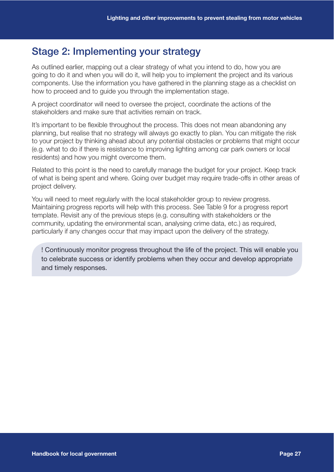## Stage 2: Implementing your strategy

As outlined earlier, mapping out a clear strategy of what you intend to do, how you are going to do it and when you will do it, will help you to implement the project and its various components. Use the information you have gathered in the planning stage as a checklist on how to proceed and to guide you through the implementation stage.

A project coordinator will need to oversee the project, coordinate the actions of the stakeholders and make sure that activities remain on track.

It's important to be flexible throughout the process. This does not mean abandoning any planning, but realise that no strategy will always go exactly to plan. You can mitigate the risk to your project by thinking ahead about any potential obstacles or problems that might occur (e.g. what to do if there is resistance to improving lighting among car park owners or local residents) and how you might overcome them.

Related to this point is the need to carefully manage the budget for your project. Keep track of what is being spent and where. Going over budget may require trade-offs in other areas of project delivery.

You will need to meet regularly with the local stakeholder group to review progress. Maintaining progress reports will help with this process. See Table 9 for a progress report template. Revisit any of the previous steps (e.g. consulting with stakeholders or the community, updating the environmental scan, analysing crime data, etc.) as required, particularly if any changes occur that may impact upon the delivery of the strategy.

! Continuously monitor progress throughout the life of the project. This will enable you to celebrate success or identify problems when they occur and develop appropriate and timely responses.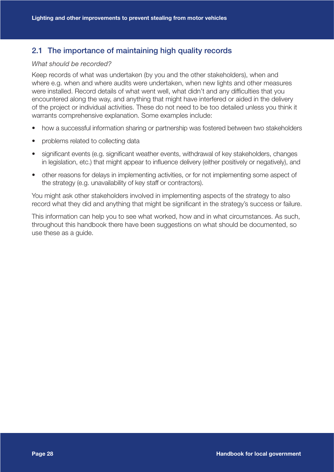## 2.1 The importance of maintaining high quality records

#### *What should be recorded?*

Keep records of what was undertaken (by you and the other stakeholders), when and where e.g. when and where audits were undertaken, when new lights and other measures were installed. Record details of what went well, what didn't and any difficulties that you encountered along the way, and anything that might have interfered or aided in the delivery of the project or individual activities. These do not need to be too detailed unless you think it warrants comprehensive explanation. Some examples include:

- how a successful information sharing or partnership was fostered between two stakeholders
- problems related to collecting data
- significant events (e.g. significant weather events, withdrawal of key stakeholders, changes in legislation, etc.) that might appear to influence delivery (either positively or negatively), and
- other reasons for delays in implementing activities, or for not implementing some aspect of the strategy (e.g. unavailability of key staff or contractors).

You might ask other stakeholders involved in implementing aspects of the strategy to also record what they did and anything that might be significant in the strategy's success or failure.

This information can help you to see what worked, how and in what circumstances. As such, throughout this handbook there have been suggestions on what should be documented, so use these as a guide.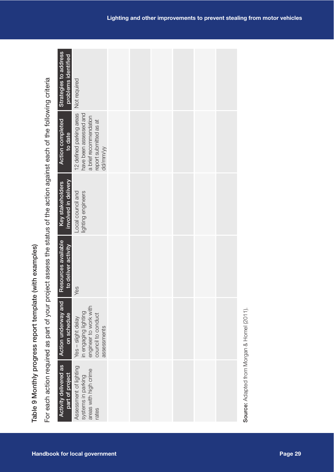| Strategies to address<br>problems identified    | Not required                                                                                                       |  |  |  |                                             |
|-------------------------------------------------|--------------------------------------------------------------------------------------------------------------------|--|--|--|---------------------------------------------|
| <b>Action completed</b><br>to date              | 12 defined parking areas<br>have been assessed and<br>a brief recommendation<br>report submitted as at<br>dd/mm/yy |  |  |  |                                             |
| involved in delivery<br>Key stakeholders        | Local council and<br>lighting engineers                                                                            |  |  |  |                                             |
| Resources available<br>to deliver activity      | Yes                                                                                                                |  |  |  |                                             |
| <b>Action underway and</b><br>on schedule       | engineer to work with<br>in engaging lighting<br>council to conduct<br>Yes - slight delay<br>assessments           |  |  |  |                                             |
| <b>Activity delivered as</b><br>part of project | Assessment of lighting<br>areas with high crime<br>systems in parking<br>rates                                     |  |  |  | Source: Adapted from Morgan & Homel (2011). |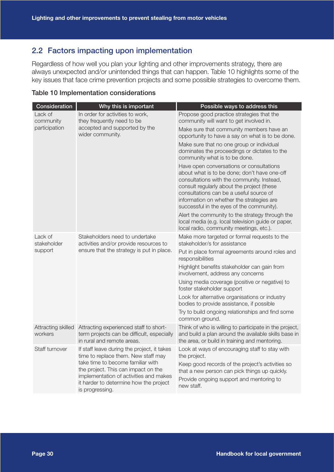## 2.2 Factors impacting upon implementation

Regardless of how well you plan your lighting and other improvements strategy, there are always unexpected and/or unintended things that can happen. Table 10 highlights some of the key issues that face crime prevention projects and some possible strategies to overcome them.

| Consideration                 | Why this is important                                                                                                                                                           | Possible ways to address this                                                                                                                                                                                                                                                                                             |
|-------------------------------|---------------------------------------------------------------------------------------------------------------------------------------------------------------------------------|---------------------------------------------------------------------------------------------------------------------------------------------------------------------------------------------------------------------------------------------------------------------------------------------------------------------------|
| Lack of<br>community          | In order for activities to work,<br>they frequently need to be                                                                                                                  | Propose good practice strategies that the<br>community will want to get involved in.                                                                                                                                                                                                                                      |
| participation                 | accepted and supported by the<br>wider community.                                                                                                                               | Make sure that community members have an<br>opportunity to have a say on what is to be done.                                                                                                                                                                                                                              |
|                               |                                                                                                                                                                                 | Make sure that no one group or individual<br>dominates the proceedings or dictates to the<br>community what is to be done.                                                                                                                                                                                                |
|                               |                                                                                                                                                                                 | Have open conversations or consultations<br>about what is to be done; don't have one-off<br>consultations with the community. Instead,<br>consult regularly about the project (these<br>consultations can be a useful source of<br>information on whether the strategies are<br>successful in the eyes of the community). |
|                               |                                                                                                                                                                                 | Alert the community to the strategy through the<br>local media (e.g. local television guide or paper,<br>local radio, community meetings, etc.).                                                                                                                                                                          |
| Lack of<br>stakeholder        | Stakeholders need to undertake<br>activities and/or provide resources to                                                                                                        | Make more targeted or formal requests to the<br>stakeholder/s for assistance                                                                                                                                                                                                                                              |
| support                       | ensure that the strategy is put in place.                                                                                                                                       | Put in place formal agreements around roles and<br>responsibilities                                                                                                                                                                                                                                                       |
|                               |                                                                                                                                                                                 | Highlight benefits stakeholder can gain from<br>involvement, address any concerns                                                                                                                                                                                                                                         |
|                               |                                                                                                                                                                                 | Using media coverage (positive or negative) to<br>foster stakeholder support                                                                                                                                                                                                                                              |
|                               |                                                                                                                                                                                 | Look for alternative organisations or industry<br>bodies to provide assistance, if possible                                                                                                                                                                                                                               |
|                               |                                                                                                                                                                                 | Try to build ongoing relationships and find some<br>common ground.                                                                                                                                                                                                                                                        |
| Attracting skilled<br>workers | Attracting experienced staff to short-<br>term projects can be difficult, especially<br>in rural and remote areas.                                                              | Think of who is willing to participate in the project,<br>and build a plan around the available skills base in<br>the area, or build in training and mentoring.                                                                                                                                                           |
| Staff turnover                | If staff leave during the project, it takes<br>time to replace them. New staff may                                                                                              | Look at ways of encouraging staff to stay with<br>the project.                                                                                                                                                                                                                                                            |
|                               | take time to become familiar with<br>the project. This can impact on the<br>implementation of activities and makes<br>it harder to determine how the project<br>is progressing. | Keep good records of the project's activities so<br>that a new person can pick things up quickly.<br>Provide ongoing support and mentoring to<br>new staff.                                                                                                                                                               |

#### Table 10 Implementation considerations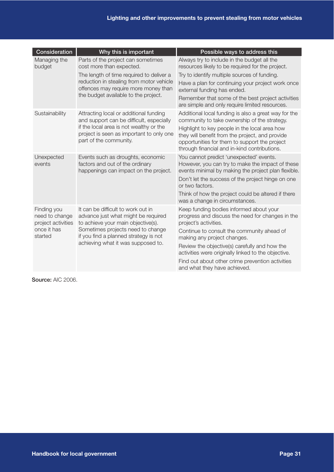| Consideration                                       | Why this is important                                                                                           | Possible ways to address this                                                                                                                                                                     |
|-----------------------------------------------------|-----------------------------------------------------------------------------------------------------------------|---------------------------------------------------------------------------------------------------------------------------------------------------------------------------------------------------|
| Managing the<br>budget                              | Parts of the project can sometimes<br>cost more than expected.                                                  | Always try to include in the budget all the<br>resources likely to be required for the project.                                                                                                   |
|                                                     | The length of time required to deliver a                                                                        | Try to identify multiple sources of funding.                                                                                                                                                      |
|                                                     | reduction in stealing from motor vehicle<br>offences may require more money than                                | Have a plan for continuing your project work once<br>external funding has ended.                                                                                                                  |
|                                                     | the budget available to the project.                                                                            | Remember that some of the best project activities<br>are simple and only require limited resources.                                                                                               |
| Sustainability                                      | Attracting local or additional funding<br>and support can be difficult, especially                              | Additional local funding is also a great way for the<br>community to take ownership of the strategy.                                                                                              |
|                                                     | if the local area is not wealthy or the<br>project is seen as important to only one<br>part of the community.   | Highlight to key people in the local area how<br>they will benefit from the project, and provide<br>opportunities for them to support the project<br>through financial and in-kind contributions. |
| Unexpected<br>events                                | Events such as droughts, economic<br>factors and out of the ordinary<br>happenings can impact on the project.   | You cannot predict 'unexpected' events.<br>However, you can try to make the impact of these<br>events minimal by making the project plan flexible.                                                |
|                                                     |                                                                                                                 | Don't let the success of the project hinge on one<br>or two factors.                                                                                                                              |
|                                                     |                                                                                                                 | Think of how the project could be altered if there<br>was a change in circumstances.                                                                                                              |
| Finding you<br>need to change<br>project activities | It can be difficult to work out in<br>advance just what might be required<br>to achieve your main objective(s). | Keep funding bodies informed about your<br>progress and discuss the need for changes in the<br>project's activities.                                                                              |
| once it has<br>started                              | Sometimes projects need to change<br>if you find a planned strategy is not                                      | Continue to consult the community ahead of<br>making any project changes.                                                                                                                         |
|                                                     | achieving what it was supposed to.                                                                              | Review the objective(s) carefully and how the<br>activities were originally linked to the objective.                                                                                              |
|                                                     |                                                                                                                 | Find out about other crime prevention activities<br>and what they have achieved.                                                                                                                  |

Source: AIC 2006.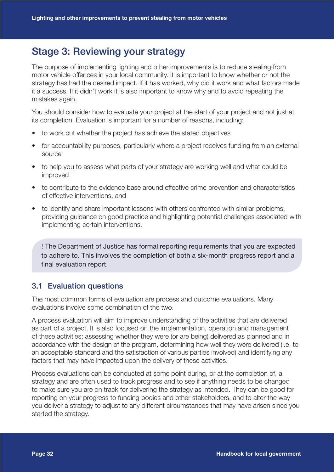## Stage 3: Reviewing your strategy

The purpose of implementing lighting and other improvements is to reduce stealing from motor vehicle offences in your local community. It is important to know whether or not the strategy has had the desired impact. If it has worked, why did it work and what factors made it a success. If it didn't work it is also important to know why and to avoid repeating the mistakes again.

You should consider how to evaluate your project at the start of your project and not just at its completion. Evaluation is important for a number of reasons, including:

- to work out whether the project has achieve the stated objectives
- for accountability purposes, particularly where a project receives funding from an external source
- to help you to assess what parts of your strategy are working well and what could be improved
- to contribute to the evidence base around effective crime prevention and characteristics of effective interventions, and
- to identify and share important lessons with others confronted with similar problems, providing guidance on good practice and highlighting potential challenges associated with implementing certain interventions.

! The Department of Justice has formal reporting requirements that you are expected to adhere to. This involves the completion of both a six-month progress report and a final evaluation report.

### 3.1 Evaluation questions

The most common forms of evaluation are process and outcome evaluations. Many evaluations involve some combination of the two.

A process evaluation will aim to improve understanding of the activities that are delivered as part of a project. It is also focused on the implementation, operation and management of these activities; assessing whether they were (or are being) delivered as planned and in accordance with the design of the program, determining how well they were delivered (i.e. to an acceptable standard and the satisfaction of various parties involved) and identifying any factors that may have impacted upon the delivery of these activities.

Process evaluations can be conducted at some point during, or at the completion of, a strategy and are often used to track progress and to see if anything needs to be changed to make sure you are on track for delivering the strategy as intended. They can be good for reporting on your progress to funding bodies and other stakeholders, and to alter the way you deliver a strategy to adjust to any different circumstances that may have arisen since you started the strategy.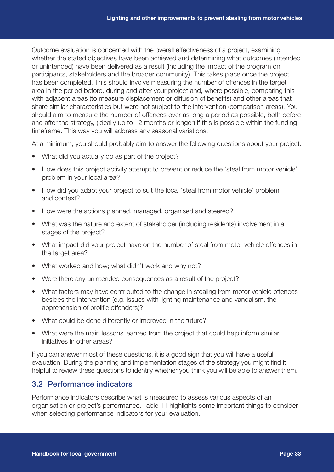Outcome evaluation is concerned with the overall effectiveness of a project, examining whether the stated objectives have been achieved and determining what outcomes (intended or unintended) have been delivered as a result (including the impact of the program on participants, stakeholders and the broader community). This takes place once the project has been completed. This should involve measuring the number of offences in the target area in the period before, during and after your project and, where possible, comparing this with adjacent areas (to measure displacement or diffusion of benefits) and other areas that share similar characteristics but were not subject to the intervention (comparison areas). You should aim to measure the number of offences over as long a period as possible, both before and after the strategy, (ideally up to 12 months or longer) if this is possible within the funding timeframe. This way you will address any seasonal variations.

At a minimum, you should probably aim to answer the following questions about your project:

- What did you actually do as part of the project?
- How does this project activity attempt to prevent or reduce the 'steal from motor vehicle' problem in your local area?
- How did you adapt your project to suit the local 'steal from motor vehicle' problem and context?
- How were the actions planned, managed, organised and steered?
- What was the nature and extent of stakeholder (including residents) involvement in all stages of the project?
- What impact did your project have on the number of steal from motor vehicle offences in the target area?
- What worked and how; what didn't work and why not?
- Were there any unintended consequences as a result of the project?
- What factors may have contributed to the change in stealing from motor vehicle offences besides the intervention (e.g. issues with lighting maintenance and vandalism, the apprehension of prolific offenders)?
- What could be done differently or improved in the future?
- What were the main lessons learned from the project that could help inform similar initiatives in other areas?

If you can answer most of these questions, it is a good sign that you will have a useful evaluation. During the planning and implementation stages of the strategy you might find it helpful to review these questions to identify whether you think you will be able to answer them.

## 3.2 Performance indicators

Performance indicators describe what is measured to assess various aspects of an organisation or project's performance. Table 11 highlights some important things to consider when selecting performance indicators for your evaluation.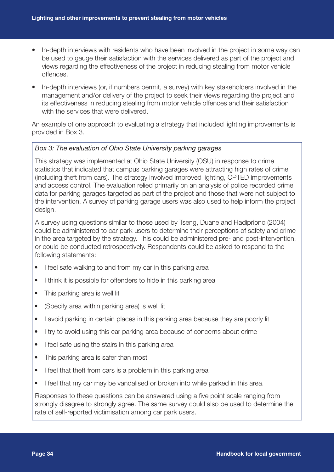- In-depth interviews with residents who have been involved in the project in some way can be used to gauge their satisfaction with the services delivered as part of the project and views regarding the effectiveness of the project in reducing stealing from motor vehicle offences.
- In-depth interviews (or, if numbers permit, a survey) with key stakeholders involved in the management and/or delivery of the project to seek their views regarding the project and its effectiveness in reducing stealing from motor vehicle offences and their satisfaction with the services that were delivered.

An example of one approach to evaluating a strategy that included lighting improvements is provided in Box 3.

#### *Box 3: The evaluation of Ohio State University parking garages*

This strategy was implemented at Ohio State University (OSU) in response to crime statistics that indicated that campus parking garages were attracting high rates of crime (including theft from cars). The strategy involved improved lighting, CPTED improvements and access control. The evaluation relied primarily on an analysis of police recorded crime data for parking garages targeted as part of the project and those that were not subject to the intervention. A survey of parking garage users was also used to help inform the project design.

A survey using questions similar to those used by Tseng, Duane and Hadipriono (2004) could be administered to car park users to determine their perceptions of safety and crime in the area targeted by the strategy. This could be administered pre- and post-intervention, or could be conducted retrospectively. Respondents could be asked to respond to the following statements:

- I feel safe walking to and from my car in this parking area
- I think it is possible for offenders to hide in this parking area
- This parking area is well lit
- (Specify area within parking area) is well lit
- I avoid parking in certain places in this parking area because they are poorly lit
- I try to avoid using this car parking area because of concerns about crime
- I feel safe using the stairs in this parking area
- This parking area is safer than most
- I feel that theft from cars is a problem in this parking area
- I feel that my car may be vandalised or broken into while parked in this area.

Responses to these questions can be answered using a five point scale ranging from strongly disagree to strongly agree. The same survey could also be used to determine the rate of self-reported victimisation among car park users.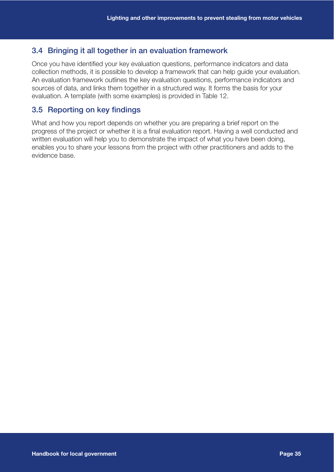## 3.4 Bringing it all together in an evaluation framework

Once you have identified your key evaluation questions, performance indicators and data collection methods, it is possible to develop a framework that can help guide your evaluation. An evaluation framework outlines the key evaluation questions, performance indicators and sources of data, and links them together in a structured way. It forms the basis for your evaluation. A template (with some examples) is provided in Table 12.

## 3.5 Reporting on key findings

What and how you report depends on whether you are preparing a brief report on the progress of the project or whether it is a final evaluation report. Having a well conducted and written evaluation will help you to demonstrate the impact of what you have been doing, enables you to share your lessons from the project with other practitioners and adds to the evidence base.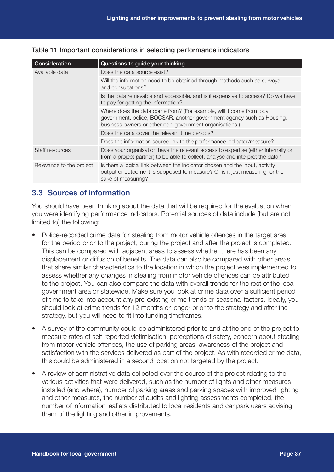### Table 11 Important considerations in selecting performance indicators

| Consideration            | Questions to guide your thinking                                                                                                                                                                          |
|--------------------------|-----------------------------------------------------------------------------------------------------------------------------------------------------------------------------------------------------------|
| Available data           | Does the data source exist?                                                                                                                                                                               |
|                          | Will the information need to be obtained through methods such as surveys<br>and consultations?                                                                                                            |
|                          | Is the data retrievable and accessible, and is it expensive to access? Do we have<br>to pay for getting the information?                                                                                  |
|                          | Where does the data come from? (For example, will it come from local<br>government, police, BOCSAR, another government agency such as Housing,<br>business owners or other non-government organisations.) |
|                          | Does the data cover the relevant time periods?                                                                                                                                                            |
|                          | Does the information source link to the performance indicator/measure?                                                                                                                                    |
| Staff resources          | Does your organisation have the relevant access to expertise (either internally or<br>from a project partner) to be able to collect, analyse and interpret the data?                                      |
| Relevance to the project | Is there a logical link between the indicator chosen and the input, activity,<br>output or outcome it is supposed to measure? Or is it just measuring for the<br>sake of measuring?                       |

## 3.3 Sources of information

You should have been thinking about the data that will be required for the evaluation when you were identifying performance indicators. Potential sources of data include (but are not limited to) the following:

- Police-recorded crime data for stealing from motor vehicle offences in the target area for the period prior to the project, during the project and after the project is completed. This can be compared with adjacent areas to assess whether there has been any displacement or diffusion of benefits. The data can also be compared with other areas that share similar characteristics to the location in which the project was implemented to assess whether any changes in stealing from motor vehicle offences can be attributed to the project. You can also compare the data with overall trends for the rest of the local government area or statewide. Make sure you look at crime data over a sufficient period of time to take into account any pre-existing crime trends or seasonal factors. Ideally, you should look at crime trends for 12 months or longer prior to the strategy and after the strategy, but you will need to fit into funding timeframes.
- A survey of the community could be administered prior to and at the end of the project to measure rates of self-reported victimisation, perceptions of safety, concern about stealing from motor vehicle offences, the use of parking areas, awareness of the project and satisfaction with the services delivered as part of the project. As with recorded crime data, this could be administered in a second location not targeted by the project.
- A review of administrative data collected over the course of the project relating to the various activities that were delivered, such as the number of lights and other measures installed (and where), number of parking areas and parking spaces with improved lighting and other measures, the number of audits and lighting assessments completed, the number of information leaflets distributed to local residents and car park users advising them of the lighting and other improvements.